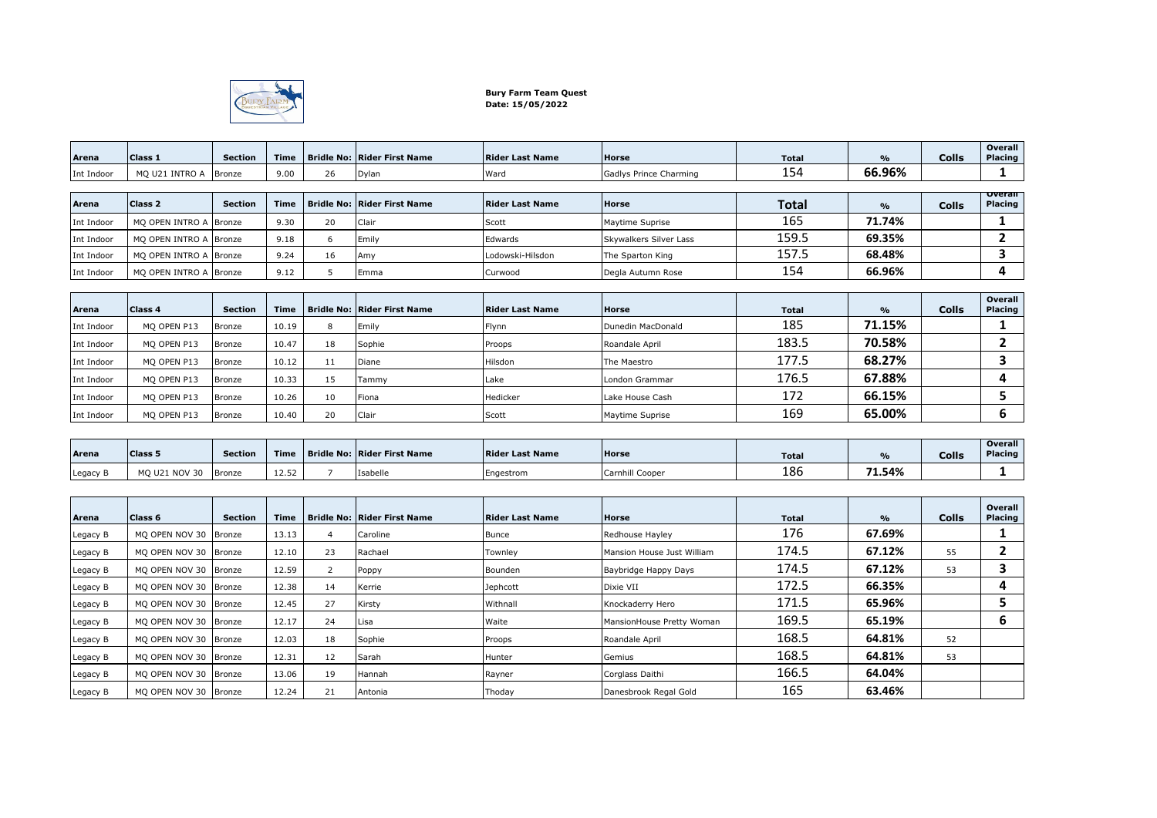

## **Bury Farm Team Quest Date: 15/05/2022**

| Arena      | Class 1                | <b>Section</b> | <b>Time</b> |    | <b>Bridle No: Rider First Name</b> | <b>Rider Last Name</b> | <b>Horse</b>           | <b>Total</b> | $\frac{9}{6}$ | <b>Colls</b> | Overall<br>Placing        |
|------------|------------------------|----------------|-------------|----|------------------------------------|------------------------|------------------------|--------------|---------------|--------------|---------------------------|
| Int Indoor | MQ U21 INTRO A         | Bronze         | 9.00        | 26 | Dylan                              | Ward                   | Gadlys Prince Charming | 154          | 66.96%        |              |                           |
| Arena      | <b>Class 2</b>         | <b>Section</b> | <b>Time</b> |    | <b>Bridle No: Rider First Name</b> | <b>Rider Last Name</b> | <b>Horse</b>           | <b>Total</b> | $\frac{9}{6}$ | <b>Colls</b> | <b>Overall</b><br>Placing |
| Int Indoor | MO OPEN INTRO A        | Bronze         | 9.30        | 20 | Clair                              | Scott                  | Maytime Suprise        | 165          | 71.74%        |              |                           |
| Int Indoor | MO OPEN INTRO A        | <b>Bronze</b>  | 9.18        | 6  | Emily                              | Edwards                | Skywalkers Silver Lass | 159.5        | 69.35%        |              |                           |
| Int Indoor | MQ OPEN INTRO A Bronze |                | 9.24        | 16 | Amy                                | Lodowski-Hilsdon       | The Sparton King       | 157.5        | 68.48%        |              | 3                         |
| Int Indoor | MO OPEN INTRO A Bronze |                | 9.12        | 5  | Emma                               | Curwood                | Degla Autumn Rose      | 154          | 66.96%        |              | 4                         |
|            |                        |                |             |    |                                    |                        |                        |              |               |              |                           |
| Arena      | <b>Class 4</b>         | <b>Section</b> | <b>Time</b> |    | <b>Bridle No: Rider First Name</b> | <b>Rider Last Name</b> | <b>Horse</b>           | <b>Total</b> | $\frac{9}{6}$ | <b>Colls</b> | Overall<br>Placing        |
| Int Indoor | MQ OPEN P13            | Bronze         | 10.19       | 8  | Emily                              | Flynn                  | Dunedin MacDonald      | 185          | 71.15%        |              |                           |
| Int Indoor | MQ OPEN P13            | Bronze         | 10.47       | 18 | Sophie                             | Proops                 | Roandale April         | 183.5        | 70.58%        |              | 2                         |
| Int Indoor | MQ OPEN P13            | Bronze         | 10.12       | 11 | Diane                              | Hilsdon                | The Maestro            | 177.5        | 68.27%        |              | 3                         |
| Int Indoor | MQ OPEN P13            | Bronze         | 10.33       | 15 | Tammy                              | Lake                   | London Grammar         | 176.5        | 67.88%        |              | 4                         |
| Int Indoor | MO OPEN P13            | Bronze         | 10.26       | 10 | Fiona                              | Hedicker               | Lake House Cash        | 172          | 66.15%        |              | 5                         |
| Int Indoor | MQ OPEN P13            | Bronze         | 10.40       | 20 | Clair                              | Scott                  | Maytime Suprise        | 169          | 65.00%        |              | 6                         |
|            |                        |                |             |    |                                    |                        |                        |              |               |              |                           |
|            |                        |                |             |    |                                    |                        |                        |              |               |              | <b>Overall</b>            |

| Arena    | Class 5      | <b>Section</b> | <b>Time</b>                   | Bridle No: Rider First Name | <b>Rider Last Name</b> | Horse           | <b>Total</b> | $\frac{1}{2}$ | Colls | Overall<br><b>Placing</b> |
|----------|--------------|----------------|-------------------------------|-----------------------------|------------------------|-----------------|--------------|---------------|-------|---------------------------|
| Legacy E | MO U21 NOV 3 | Bronze         | $\sim$ $\sim$ $\sim$<br>12.52 | Isabelle                    | Engestrom              | Carnhill Cooper | 186          | 71.54%        |       |                           |

| Arena    | Class <sub>6</sub>    | Section       | <b>Time</b> |    | <b>Bridle No: Rider First Name</b> | Rider Last Name | <b>Horse</b>               | <b>Total</b> | $\frac{9}{6}$ | <b>Colls</b> | Overall<br><b>Placing</b> |
|----------|-----------------------|---------------|-------------|----|------------------------------------|-----------------|----------------------------|--------------|---------------|--------------|---------------------------|
| Legacy B | MO OPEN NOV 30        | Bronze        | 13.13       | 4  | Caroline                           | <b>Bunce</b>    | Redhouse Hayley            | 176          | 67.69%        |              |                           |
| Legacy B | MO OPEN NOV 30        | Bronze        | 12.10       | 23 | Rachael                            | Townley         | Mansion House Just William | 174.5        | 67.12%        | 55           |                           |
| Legacy B | MO OPEN NOV 30        | Bronze        | 12.59       |    | Poppy                              | Bounden         | Baybridge Happy Days       | 174.5        | 67.12%        | 53           |                           |
| Legacy B | MO OPEN NOV 30 Bronze |               | 12.38       | 14 | Kerrie                             | Jephcott        | Dixie VII                  | 172.5        | 66.35%        |              | 4                         |
| Legacy B | MO OPEN NOV 30        | Bronze        | 12.45       | 27 | Kirsty                             | Withnall        | Knockaderry Hero           | 171.5        | 65.96%        |              |                           |
| Legacy B | MO OPEN NOV 30        | Bronze        | 12.17       | 24 | Lisa                               | Waite           | MansionHouse Pretty Woman  | 169.5        | 65.19%        |              |                           |
| Legacy B | MO OPEN NOV 30        | <b>Bronze</b> | 12.03       | 18 | Sophie                             | Proops          | Roandale April             | 168.5        | 64.81%        | 52           |                           |
| Legacy B | MO OPEN NOV 30        | Bronze        | 12.31       | 12 | Sarah                              | Hunter          | Gemius                     | 168.5        | 64.81%        | 53           |                           |
| Legacy B | MO OPEN NOV 30        | Bronze        | 13.06       | 19 | Hannah                             | Rayner          | Corglass Daithi            | 166.5        | 64.04%        |              |                           |
| Legacy B | MQ OPEN NOV 30 Bronze |               | 12.24       | 21 | Antonia                            | Thoday          | Danesbrook Regal Gold      | 165          | 63.46%        |              |                           |